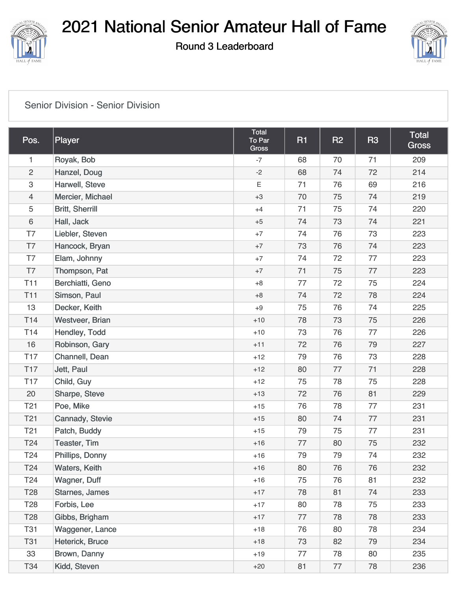

Round 3 Leaderboard



#### [Senior Division - Senior Division](https://cdn2.golfgenius.com/v2tournaments/2122245?called_from=&round_index=3)

| Pos.                      | Player                 | Total<br>To Par<br><b>Gross</b> | <b>R1</b> | R2 | <b>R3</b> | <b>Total</b><br><b>Gross</b> |
|---------------------------|------------------------|---------------------------------|-----------|----|-----------|------------------------------|
| $\mathbf{1}$              | Royak, Bob             | $-7$                            | 68        | 70 | 71        | 209                          |
| $\overline{c}$            | Hanzel, Doug           | $-2$                            | 68        | 74 | 72        | 214                          |
| $\ensuremath{\mathsf{3}}$ | Harwell, Steve         | $\mathsf E$                     | 71        | 76 | 69        | 216                          |
| $\overline{4}$            | Mercier, Michael       | $+3$                            | 70        | 75 | 74        | 219                          |
| 5                         | <b>Britt, Sherrill</b> | $+4$                            | 71        | 75 | 74        | 220                          |
| $\,6\,$                   | Hall, Jack             | $+5$                            | 74        | 73 | 74        | 221                          |
| T7                        | Liebler, Steven        | $+7$                            | 74        | 76 | 73        | 223                          |
| T7                        | Hancock, Bryan         | $+7$                            | 73        | 76 | 74        | 223                          |
| T7                        | Elam, Johnny           | $+7$                            | 74        | 72 | 77        | 223                          |
| T7                        | Thompson, Pat          | $+7$                            | 71        | 75 | 77        | 223                          |
| T <sub>11</sub>           | Berchiatti, Geno       | $+8$                            | 77        | 72 | 75        | 224                          |
| <b>T11</b>                | Simson, Paul           | $+8$                            | 74        | 72 | 78        | 224                          |
| 13                        | Decker, Keith          | $+9$                            | 75        | 76 | 74        | 225                          |
| T14                       | Westveer, Brian        | $+10$                           | 78        | 73 | 75        | 226                          |
| <b>T14</b>                | Hendley, Todd          | $+10$                           | 73        | 76 | 77        | 226                          |
| 16                        | Robinson, Gary         | $+11$                           | 72        | 76 | 79        | 227                          |
| <b>T17</b>                | Channell, Dean         | $+12$                           | 79        | 76 | 73        | 228                          |
| <b>T17</b>                | Jett, Paul             | $+12$                           | 80        | 77 | 71        | 228                          |
| <b>T17</b>                | Child, Guy             | $+12$                           | 75        | 78 | 75        | 228                          |
| 20                        | Sharpe, Steve          | $+13$                           | 72        | 76 | 81        | 229                          |
| T <sub>21</sub>           | Poe, Mike              | $+15$                           | 76        | 78 | 77        | 231                          |
| T <sub>21</sub>           | Cannady, Stevie        | $+15$                           | 80        | 74 | 77        | 231                          |
| <b>T21</b>                | Patch, Buddy           | $+15$                           | 79        | 75 | 77        | 231                          |
| T <sub>24</sub>           | Teaster, Tim           | $+16$                           | 77        | 80 | 75        | 232                          |
| T24                       | Phillips, Donny        | $+16$                           | 79        | 79 | 74        | 232                          |
| T <sub>24</sub>           | Waters, Keith          | $+16$                           | 80        | 76 | 76        | 232                          |
| T <sub>24</sub>           | Wagner, Duff           | $+16$                           | 75        | 76 | 81        | 232                          |
| <b>T28</b>                | Starnes, James         | $+17$                           | 78        | 81 | 74        | 233                          |
| T <sub>28</sub>           | Forbis, Lee            | $+17$                           | 80        | 78 | 75        | 233                          |
| <b>T28</b>                | Gibbs, Brigham         | $+17$                           | 77        | 78 | 78        | 233                          |
| <b>T31</b>                | Waggener, Lance        | $+18$                           | 76        | 80 | 78        | 234                          |
| <b>T31</b>                | Heterick, Bruce        | $+18$                           | 73        | 82 | 79        | 234                          |
| 33                        | Brown, Danny           | $+19$                           | 77        | 78 | 80        | 235                          |
| T34                       | Kidd, Steven           | $+20$                           | 81        | 77 | 78        | 236                          |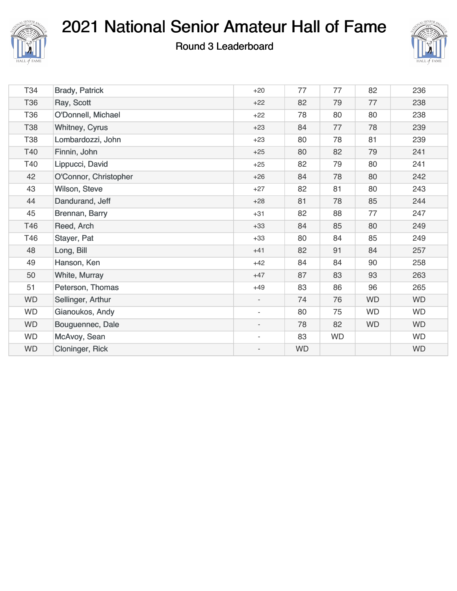

#### Round 3 Leaderboard



| T34       | <b>Brady, Patrick</b> | $+20$                    | 77        | 77        | 82        | 236       |
|-----------|-----------------------|--------------------------|-----------|-----------|-----------|-----------|
| T36       | Ray, Scott            | $+22$                    | 82        | 79        | 77        | 238       |
| T36       | O'Donnell, Michael    | $+22$                    | 78        | 80        | 80        | 238       |
| T38       | Whitney, Cyrus        | $+23$                    | 84        | 77        | 78        | 239       |
| T38       | Lombardozzi, John     | $+23$                    | 80        | 78        | 81        | 239       |
| T40       | Finnin, John          | $+25$                    | 80        | 82        | 79        | 241       |
| T40       | Lippucci, David       | $+25$                    | 82        | 79        | 80        | 241       |
| 42        | O'Connor, Christopher | $+26$                    | 84        | 78        | 80        | 242       |
| 43        | Wilson, Steve         | $+27$                    | 82        | 81        | 80        | 243       |
| 44        | Dandurand, Jeff       | $+28$                    | 81        | 78        | 85        | 244       |
| 45        | Brennan, Barry        | $+31$                    | 82        | 88        | 77        | 247       |
| T46       | Reed, Arch            | $+33$                    | 84        | 85        | 80        | 249       |
| T46       | Stayer, Pat           | $+33$                    | 80        | 84        | 85        | 249       |
| 48        | Long, Bill            | $+41$                    | 82        | 91        | 84        | 257       |
| 49        | Hanson, Ken           | $+42$                    | 84        | 84        | 90        | 258       |
| 50        | White, Murray         | $+47$                    | 87        | 83        | 93        | 263       |
| 51        | Peterson, Thomas      | $+49$                    | 83        | 86        | 96        | 265       |
| <b>WD</b> | Sellinger, Arthur     | $\blacksquare$           | 74        | 76        | <b>WD</b> | <b>WD</b> |
| <b>WD</b> | Gianoukos, Andy       | $\overline{\phantom{a}}$ | 80        | 75        | <b>WD</b> | <b>WD</b> |
| <b>WD</b> | Bouguennec, Dale      | $\overline{\phantom{a}}$ | 78        | 82        | <b>WD</b> | <b>WD</b> |
| <b>WD</b> | McAvoy, Sean          | $\overline{\phantom{a}}$ | 83        | <b>WD</b> |           | <b>WD</b> |
| <b>WD</b> | Cloninger, Rick       | $\overline{\phantom{m}}$ | <b>WD</b> |           |           | <b>WD</b> |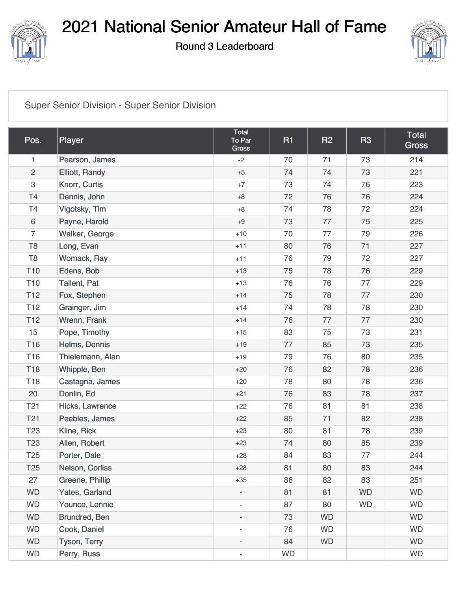

Round 3 Leaderboard



#### [Super Senior Division - Super Senior Division](https://cdn2.golfgenius.com/v2tournaments/2122249?called_from=&round_index=3)

| Pos.            | Player              | <b>Total</b><br>To Par<br><b>Gross</b> | <b>R1</b> | R <sub>2</sub> | <b>R3</b> | Total<br><b>Gross</b> |
|-----------------|---------------------|----------------------------------------|-----------|----------------|-----------|-----------------------|
| 1               | Pearson, James      | $-2$                                   | 70        | 71             | 73        | 214                   |
| $\overline{c}$  | Elliott, Randy      | $+5$                                   | 74        | 74             | 73        | 221                   |
| 3               | Knorr, Curtis       | $+7$                                   | 73        | 74             | 76        | 223                   |
| T <sub>4</sub>  | Dennis, John        | $+8$                                   | 72        | 76             | 76        | 224                   |
| T <sub>4</sub>  | Vigotsky, Tim       | $+8$                                   | 74        | 78             | 72        | 224                   |
| 6               | Payne, Harold       | $+9$                                   | 73        | 77             | 75        | 225                   |
| $\overline{7}$  | Walker, George      | $+10$                                  | 70        | 77             | 79        | 226                   |
| T <sub>8</sub>  | Long, Evan          | $+11$                                  | 80        | 76             | 71        | 227                   |
| T <sub>8</sub>  | Womack, Ray         | $+11$                                  | 76        | 79             | 72        | 227                   |
| T <sub>10</sub> | Edens, Bob          | $+13$                                  | 75        | 78             | 76        | 229                   |
| T <sub>10</sub> | <b>Tallent, Pat</b> | $+13$                                  | 76        | 76             | 77        | 229                   |
| T <sub>12</sub> | Fox, Stephen        | $+14$                                  | 75        | 78             | 77        | 230                   |
| T <sub>12</sub> | Grainger, Jim       | $+14$                                  | 74        | 78             | 78        | 230                   |
| T <sub>12</sub> | Wrenn, Frank        | $+14$                                  | 76        | 77             | 77        | 230                   |
| 15              | Pope, Timothy       | $+15$                                  | 83        | 75             | 73        | 231                   |
| T16             | Helms, Dennis       | $+19$                                  | 77        | 85             | 73        | 235                   |
| T16             | Thielemann, Alan    | $+19$                                  | 79        | 76             | 80        | 235                   |
| T18             | Whipple, Ben        | $+20$                                  | 76        | 82             | 78        | 236                   |
| T18             | Castagna, James     | $+20$                                  | 78        | 80             | 78        | 236                   |
| 20              | Donlin, Ed          | $+21$                                  | 76        | 83             | 78        | 237                   |
| T <sub>21</sub> | Hicks, Lawrence     | $+22$                                  | 76        | 81             | 81        | 238                   |
| T <sub>21</sub> | Peebles, James      | $+22$                                  | 85        | 71             | 82        | 238                   |
| T <sub>23</sub> | Kline, Rick         | $+23$                                  | 80        | 81             | 78        | 239                   |
| T <sub>23</sub> | Allen, Robert       | $+23$                                  | 74        | 80             | 85        | 239                   |
| T <sub>25</sub> | Porter, Dale        | $+28$                                  | 84        | 83             | 77        | 244                   |
| T <sub>25</sub> | Nelson, Corliss     | $+28$                                  | 81        | 80             | 83        | 244                   |
| 27              | Greene, Phillip     | $+35$                                  | 86        | 82             | 83        | 251                   |
| <b>WD</b>       | Yates, Garland      |                                        | 81        | 81             | <b>WD</b> | <b>WD</b>             |
| <b>WD</b>       | Younce, Lennie      | $\blacksquare$                         | 87        | 80             | <b>WD</b> | <b>WD</b>             |
| <b>WD</b>       | Brundred, Ben       | $\overline{\phantom{m}}$               | 73        | <b>WD</b>      |           | <b>WD</b>             |
| <b>WD</b>       | Cook, Daniel        | $\overline{\phantom{m}}$               | 76        | <b>WD</b>      |           | <b>WD</b>             |
| <b>WD</b>       | Tyson, Terry        |                                        | 84        | <b>WD</b>      |           | <b>WD</b>             |
| <b>WD</b>       | Perry, Russ         | $\overline{\phantom{0}}$               | <b>WD</b> |                |           | <b>WD</b>             |